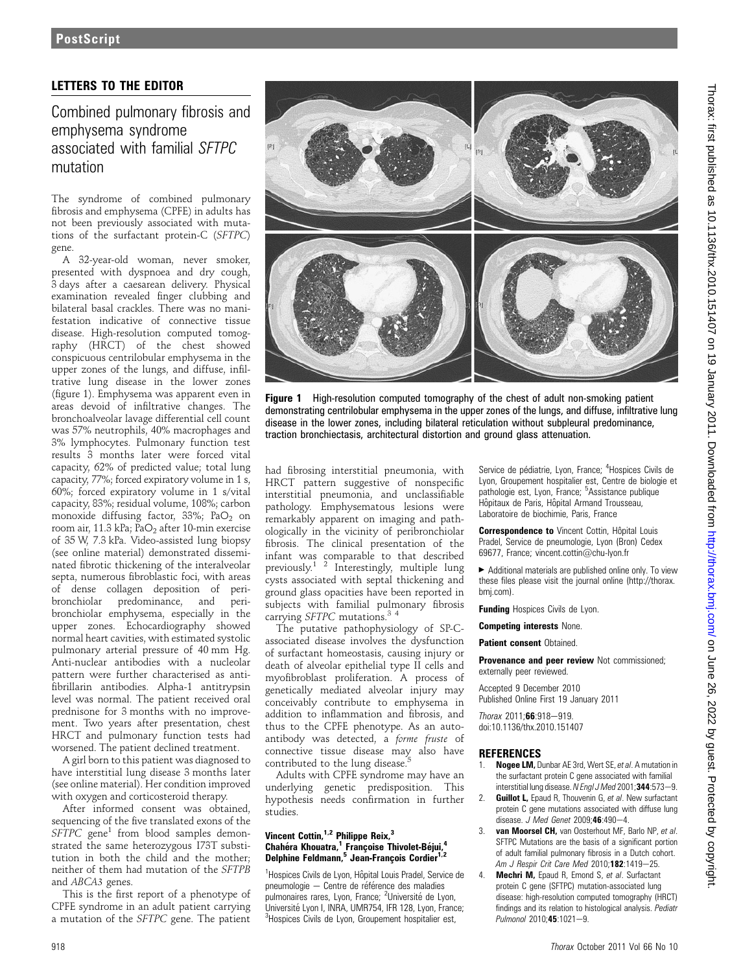## **PostScript**

### LETTERS TO THE EDITOR

Combined pulmonary fibrosis and emphysema syndrome associated with familial SFTPC mutation

The syndrome of combined pulmonary fibrosis and emphysema (CPFE) in adults has not been previously associated with mutations of the surfactant protein-C (SFTPC) gene.

A 32-year-old woman, never smoker, presented with dyspnoea and dry cough, 3 days after a caesarean delivery. Physical examination revealed finger clubbing and bilateral basal crackles. There was no manifestation indicative of connective tissue disease. High-resolution computed tomography (HRCT) of the chest showed conspicuous centrilobular emphysema in the upper zones of the lungs, and diffuse, infiltrative lung disease in the lower zones (figure 1). Emphysema was apparent even in areas devoid of infiltrative changes. The bronchoalveolar lavage differential cell count was 57% neutrophils, 40% macrophages and 3% lymphocytes. Pulmonary function test results 3 months later were forced vital capacity, 62% of predicted value; total lung capacity, 77%; forced expiratory volume in 1 s, 60%; forced expiratory volume in 1 s/vital capacity, 83%; residual volume, 108%; carbon monoxide diffusing factor, 33%; PaO<sub>2</sub> on room air, 11.3 kPa; PaO<sub>2</sub> after 10-min exercise of 35 W, 7.3 kPa. Video-assisted lung biopsy (see online material) demonstrated disseminated fibrotic thickening of the interalveolar septa, numerous fibroblastic foci, with areas of dense collagen deposition of peribronchiolar predominance, and peribronchiolar emphysema, especially in the upper zones. Echocardiography showed normal heart cavities, with estimated systolic pulmonary arterial pressure of 40 mm Hg. Anti-nuclear antibodies with a nucleolar pattern were further characterised as antifibrillarin antibodies. Alpha-1 antitrypsin level was normal. The patient received oral prednisone for 3 months with no improvement. Two years after presentation, chest HRCT and pulmonary function tests had worsened. The patient declined treatment.

A girl born to this patient was diagnosed to have interstitial lung disease 3 months later (see online material). Her condition improved with oxygen and corticosteroid therapy.

After informed consent was obtained, sequencing of the five translated exons of the  $SFTPC$  gene<sup>1</sup> from blood samples demonstrated the same heterozygous I73T substitution in both the child and the mother; neither of them had mutation of the SFTPB and ABCA3 genes.

This is the first report of a phenotype of CPFE syndrome in an adult patient carrying a mutation of the SFTPC gene. The patient



Figure 1 High-resolution computed tomography of the chest of adult non-smoking patient demonstrating centrilobular emphysema in the upper zones of the lungs, and diffuse, infiltrative lung disease in the lower zones, including bilateral reticulation without subpleural predominance, traction bronchiectasis, architectural distortion and ground glass attenuation.

had fibrosing interstitial pneumonia, with HRCT pattern suggestive of nonspecific interstitial pneumonia, and unclassifiable pathology. Emphysematous lesions were remarkably apparent on imaging and pathologically in the vicinity of peribronchiolar fibrosis. The clinical presentation of the infant was comparable to that described previously.1 2 Interestingly, multiple lung cysts associated with septal thickening and ground glass opacities have been reported in subjects with familial pulmonary fibrosis carrying SFTPC mutations.<sup>34</sup>

The putative pathophysiology of SP-Cassociated disease involves the dysfunction of surfactant homeostasis, causing injury or death of alveolar epithelial type II cells and myofibroblast proliferation. A process of genetically mediated alveolar injury may conceivably contribute to emphysema in addition to inflammation and fibrosis, and thus to the CPFE phenotype. As an autoantibody was detected, a forme fruste of connective tissue disease may also have contributed to the lung disease.

Adults with CPFE syndrome may have an underlying genetic predisposition. This hypothesis needs confirmation in further studies.

#### Vincent Cottin, $1,2$  Philippe Reix, $3$ Chahéra Khouatra,<sup>1</sup> Francoise Thivolet-Béjui,<sup>4</sup> Delphine Feldmann,<sup>5</sup> Jean-François Cordier<sup>1,2</sup>

<sup>1</sup>Hospices Civils de Lyon, Hôpital Louis Pradel, Service de pneumologie - Centre de référence des maladies pulmonaires rares, Lyon, France; <sup>2</sup>Université de Lyon, Université Lyon I, INRA, UMR754, IFR 128, Lyon, France: <sup>3</sup>Hospices Civils de Lyon, Groupement hospitalier est,

Service de pédiatrie, Lyon, France; <sup>4</sup>Hospices Civils de Lyon, Groupement hospitalier est, Centre de biologie et pathologie est, Lyon, France; <sup>5</sup>Assistance publique Hôpitaux de Paris, Hôpital Armand Trousseau, Laboratoire de biochimie, Paris, France

Correspondence to Vincent Cottin, Hôpital Louis Pradel, Service de pneumologie, Lyon (Bron) Cedex 69677, France; vincent.cottin@chu-lyon.fr

 $\blacktriangleright$  Additional materials are published online only. To view these files please visit the journal online (http://thorax. bmj.com).

Funding Hospices Civils de Lyon.

Competing interests None.

Patient consent Obtained.

Provenance and peer review Not commissioned; externally peer reviewed.

Accepted 9 December 2010 Published Online First 19 January 2011

 $Thorax 2011; 66:918-919.$ doi:10.1136/thx.2010.151407

# **REFERENCES**<br>1. Nogee LM. D

- Nogee LM, Dunbar AE 3rd, Wert SE, et al. A mutation in the surfactant protein C gene associated with familial interstitial lung disease. N Engl J Med 2001; 344:573-9.
- 2. **Guillot L**, Epaud R, Thouvenin G, et al. New surfactant protein C gene mutations associated with diffuse lung disease. J Med Genet 2009; $46:490-4$ .
- 3. van Moorsel CH, van Oosterhout MF, Barlo NP, et al. SFTPC Mutations are the basis of a significant portion of adult familial pulmonary fibrosis in a Dutch cohort. Am J Respir Crit Care Med 2010;182:1419-25.
- Mechri M, Epaud R, Emond S, et al. Surfactant protein C gene (SFTPC) mutation-associated lung disease: high-resolution computed tomography (HRCT) findings and its relation to histological analysis. Pediatr Pulmonol 2010:45:1021-9.